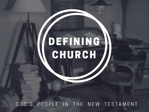# DEFINING CHURCH

GOD'S PEOPLE IN THE NEW TESTAMENT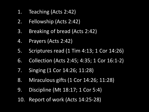- 1. Teaching (Acts 2:42)
- 2. Fellowship (Acts 2:42)
- 3. Breaking of bread (Acts 2:42)
- 4. Prayers (Acts 2:42)
- 5. Scriptures read (1 Tim 4:13; 1 Cor 14:26)
- 6. Collection (Acts 2:45; 4:35; 1 Cor 16:1-2)
- 7. Singing (1 Cor 14:26; 11:28)
- 8. Miraculous gifts (1 Cor 14:26; 11:28)
- 9. Discipline (Mt 18:17; 1 Cor 5:4)
- 10. Report of work (Acts 14:25-28)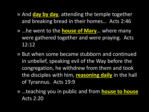- » And **day by day**, attending the temple together and breaking bread in their homes… Acts 2:46
- » …he went to the **house of Mary**… where many were gathered together and were praying. Acts 12:12
- » But when some became stubborn and continued in unbelief, speaking evil of the Way before the congregation, he withdrew from them and took the disciples with him, **reasoning daily** in the hall of Tyrannus. Acts 19:9
- » …teaching you in public and from **house to house** Acts 2:20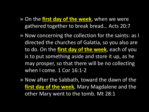- » On the **first day of the week**, when we were gathered together to break bread… Acts 20:7
- » Now concerning the collection for the saints: as I directed the churches of Galatia, so you also are to do. On the **first day of the week**, each of you is to put something aside and store it up, as he may prosper, so that there will be no collecting when I come. 1 Cor 16:1-2
- » Now after the Sabbath, toward the dawn of the **first day of the week**, Mary Magdalene and the other Mary went to the tomb. Mt 28:1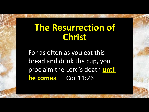## **The Resurrection of Christ**

For as often as you eat this bread and drink the cup, you proclaim the Lord's death **until he comes**. 1 Cor 11:26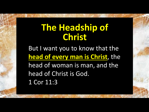## **The Headship of Christ**

But I want you to know that the **head of every man is Christ**, the head of woman is man, and the head of Christ is God. 1 Cor 11:3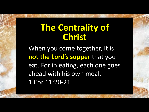### **The Centrality of Christ**

When you come together, it is **not the Lord's supper** that you eat. For in eating, each one goes ahead with his own meal. 1 Cor 11:20-21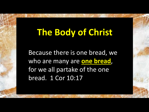# **The Body of Christ**

Because there is one bread, we who are many are **one bread**, for we all partake of the one bread. 1 Cor 10:17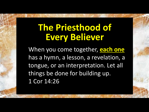## **The Priesthood of Every Believer**

When you come together, **each one** has a hymn, a lesson, a revelation, a tongue, or an interpretation. Let all things be done for building up. 1 Cor 14:26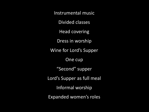Instrumental music Divided classes Head covering Dress in worship Wine for Lord's Supper One cup "Second" supper Lord's Supper as full meal Informal worship Expanded women's roles